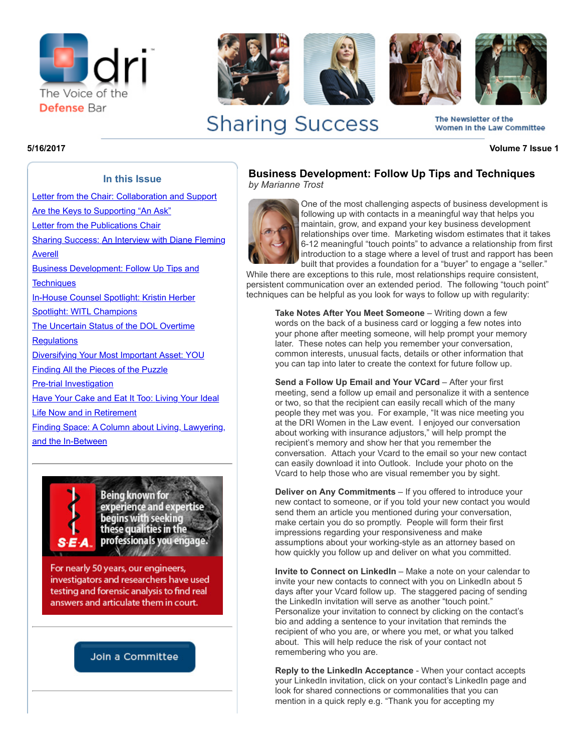



# **Sharing Success**

**5/16/2017 Volume 7 Issue 1**

The Newsletter of the Women In the Law Committee

### **In this Issue**

[Letter from the Chair: Collaboration and Support](http://portal.criticalimpact.com/newsletter/newslettershow5.cfm?contentonly=1&content=111861&id=8711)

Are the Keys to Supporting "An Ask" [Letter from the Publications Chair](http://portal.criticalimpact.com/newsletter/newslettershow5.cfm?contentonly=1&content=111871&id=8711)

[Sharing Success: An Interview with Diane Fleming](http://portal.criticalimpact.com/newsletter/newslettershow5.cfm?contentonly=1&content=113121&id=8711)

Averell

[Business Development: Follow Up Tips and](http://portal.criticalimpact.com/newsletter/newslettershow5.cfm?contentonly=1&content=113131&id=8711) **Techniques** 

[In-House Counsel Spotlight: Kristin Herber](http://portal.criticalimpact.com/newsletter/newslettershow5.cfm?contentonly=1&content=113141&id=8711)

[Spotlight: WITL Champions](http://portal.criticalimpact.com/newsletter/newslettershow5.cfm?contentonly=1&content=113151&id=8711)

[The Uncertain Status of the DOL Overtime](http://portal.criticalimpact.com/newsletter/newslettershow5.cfm?contentonly=1&content=113161&id=8711) **Requlations** 

[Diversifying Your Most Important Asset: YOU](http://portal.criticalimpact.com/newsletter/newslettershow5.cfm?contentonly=1&content=116231&id=8711)

Finding All the Pieces of the Puzzle

[Pre-trial Investigation](http://portal.criticalimpact.com/newsletter/newslettershow5.cfm?contentonly=1&content=122081&id=8711)

[Have Your Cake and Eat It Too: Living Your Ideal](http://portal.criticalimpact.com/newsletter/newslettershow5.cfm?contentonly=1&content=116241&id=8711)

Life Now and in Retirement

[Finding Space: A Column about Living, Lawyering,](http://portal.criticalimpact.com/newsletter/newslettershow5.cfm?contentonly=1&content=116251&id=8711) and the In-Between



**Being known for** experience and expertise begins with seeking these qualities in the professionals you engage. **North Carl Corporation** 

For nearly 50 years, our engineers, investigators and researchers have used testing and forensic analysis to find real answers and articulate them in court.

# Join a Committee

**Business Development: Follow Up Tips and Techniques** *by Marianne Trost*



One of the most challenging aspects of business development is following up with contacts in a meaningful way that helps you maintain, grow, and expand your key business development relationships over time. Marketing wisdom estimates that it takes 6-12 meaningful "touch points" to advance a relationship from first introduction to a stage where a level of trust and rapport has been built that provides a foundation for a "buyer" to engage a "seller."

While there are exceptions to this rule, most relationships require consistent, persistent communication over an extended period. The following "touch point" techniques can be helpful as you look for ways to follow up with regularity:

Take Notes After You Meet Someone - Writing down a few words on the back of a business card or logging a few notes into your phone after meeting someone, will help prompt your memory later. These notes can help you remember your conversation, common interests, unusual facts, details or other information that you can tap into later to create the context for future follow up.

**Send a Follow Up Email and Your VCard** – After your first meeting, send a follow up email and personalize it with a sentence or two, so that the recipient can easily recall which of the many people they met was you. For example, "It was nice meeting you at the DRI Women in the Law event. I enjoyed our conversation about working with insurance adjustors," will help prompt the recipient's memory and show her that you remember the conversation. Attach your Vcard to the email so your new contact can easily download it into Outlook. Include your photo on the Vcard to help those who are visual remember you by sight.

**Deliver on Any Commitments** – If you offered to introduce your new contact to someone, or if you told your new contact you would send them an article you mentioned during your conversation, make certain you do so promptly. People will form their first impressions regarding your responsiveness and make assumptions about your working-style as an attorney based on how quickly you follow up and deliver on what you committed.

**Invite to Connect on LinkedIn** – Make a note on your calendar to invite your new contacts to connect with you on LinkedIn about 5 days after your Vcard follow up. The staggered pacing of sending the LinkedIn invitation will serve as another "touch point." Personalize your invitation to connect by clicking on the contact's bio and adding a sentence to your invitation that reminds the recipient of who you are, or where you met, or what you talked about. This will help reduce the risk of your contact not remembering who you are.

**Reply to the LinkedIn Acceptance** - When your contact accepts your LinkedIn invitation, click on your contact's LinkedIn page and look for shared connections or commonalities that you can mention in a quick reply e.g. "Thank you for accepting my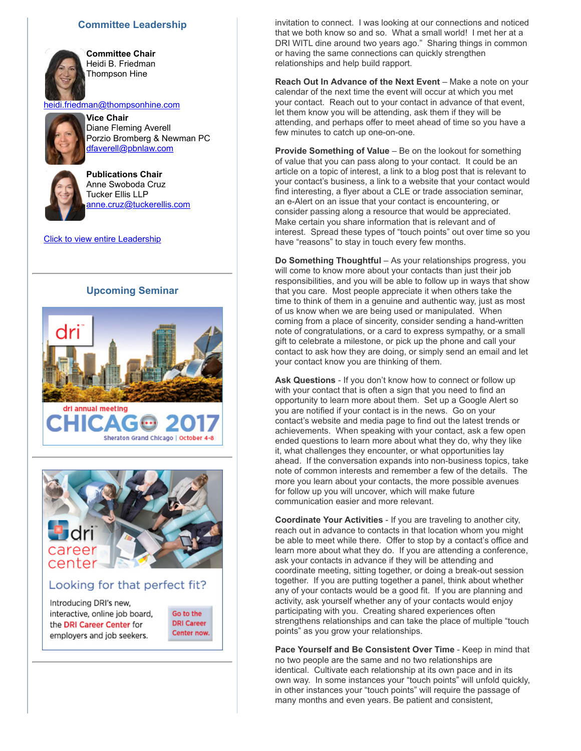#### **Committee Leadership**



**Committee Chair** Heidi B. Friedman Thompson Hine

Diane Fleming Averell

[heidi.friedman@thompsonhine.com](mailto:heidi.friedman@thompsonhine.com) **Vice Chair**

Tucker Ellis LLP



[dfaverell@pbnlaw.com](mailto:dfaverell@pbnlaw.com) **Publications Chair** Anne Swoboda Cruz

[anne.cruz@tuckerellis.com](mailto:anne.cruz@tuckerellis.com)

Porzio Bromberg & Newman PC

**[Click to view entire Leadership](http://dri.org/Committee/Leadership?code=0450)** 

#### **Upcoming Seminar**





# Looking for that perfect fit?

Introducing DRI's new, interactive, online job board, the DRI Career Center for employers and job seekers.

Go to the **DRI Career** Center now. invitation to connect. I was looking at our connections and noticed that we both know so and so. What a small world! I met her at a DRI WITL dine around two years ago." Sharing things in common or having the same connections can quickly strengthen relationships and help build rapport.

**Reach Out In Advance of the Next Event** – Make a note on your calendar of the next time the event will occur at which you met your contact. Reach out to your contact in advance of that event, let them know you will be attending, ask them if they will be attending, and perhaps offer to meet ahead of time so you have a few minutes to catch up one-on-one.

**Provide Something of Value** – Be on the lookout for something of value that you can pass along to your contact. It could be an article on a topic of interest, a link to a blog post that is relevant to your contact's business, a link to a website that your contact would find interesting, a flyer about a CLE or trade association seminar, an e-Alert on an issue that your contact is encountering, or consider passing along a resource that would be appreciated. Make certain you share information that is relevant and of interest. Spread these types of "touch points" out over time so you have "reasons" to stay in touch every few months.

**Do Something Thoughtful** – As your relationships progress, you will come to know more about your contacts than just their job responsibilities, and you will be able to follow up in ways that show that you care. Most people appreciate it when others take the time to think of them in a genuine and authentic way, just as most of us know when we are being used or manipulated. When coming from a place of sincerity, consider sending a hand-written note of congratulations, or a card to express sympathy, or a small gift to celebrate a milestone, or pick up the phone and call your contact to ask how they are doing, or simply send an email and let your contact know you are thinking of them.

**Ask Questions** - If you don't know how to connect or follow up with your contact that is often a sign that you need to find an opportunity to learn more about them. Set up a Google Alert so you are notified if your contact is in the news. Go on your contact's website and media page to find out the latest trends or achievements. When speaking with your contact, ask a few open ended questions to learn more about what they do, why they like it, what challenges they encounter, or what opportunities lay ahead. If the conversation expands into non-business topics, take note of common interests and remember a few of the details. The more you learn about your contacts, the more possible avenues for follow up you will uncover, which will make future communication easier and more relevant.

**Coordinate Your Activities** - If you are traveling to another city, reach out in advance to contacts in that location whom you might be able to meet while there. Offer to stop by a contact's office and learn more about what they do. If you are attending a conference, ask your contacts in advance if they will be attending and coordinate meeting, sitting together, or doing a break-out session together. If you are putting together a panel, think about whether any of your contacts would be a good fit. If you are planning and activity, ask yourself whether any of your contacts would enjoy participating with you. Creating shared experiences often strengthens relationships and can take the place of multiple "touch points" as you grow your relationships.

**Pace Yourself and Be Consistent Over Time** - Keep in mind that no two people are the same and no two relationships are identical. Cultivate each relationship at its own pace and in its own way. In some instances your "touch points" will unfold quickly, in other instances your "touch points" will require the passage of many months and even years. Be patient and consistent,